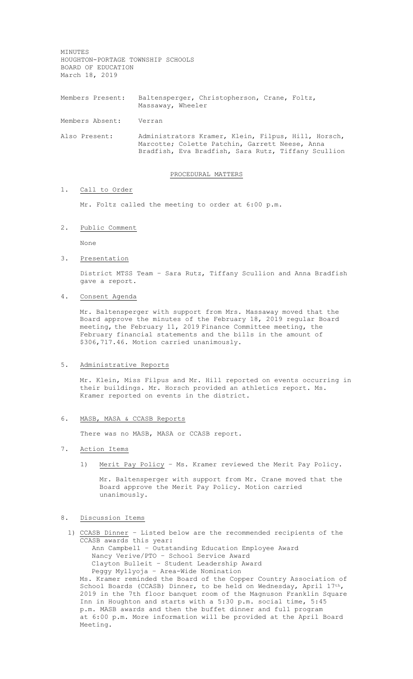MINUTES HOUGHTON-PORTAGE TOWNSHIP SCHOOLS BOARD OF EDUCATION March 18, 2019

Members Present: Baltensperger, Christopherson, Crane, Foltz, Massaway, Wheeler

Members Absent: Verran

Also Present: Administrators Kramer, Klein, Filpus, Hill, Horsch, Marcotte; Colette Patchin, Garrett Neese, Anna Bradfish, Eva Bradfish, Sara Rutz, Tiffany Scullion

## PROCEDURAL MATTERS

## 1. Call to Order

Mr. Foltz called the meeting to order at 6:00 p.m.

2. Public Comment

None

3. Presentation

District MTSS Team – Sara Rutz, Tiffany Scullion and Anna Bradfish gave a report.

4. Consent Agenda

Mr. Baltensperger with support from Mrs. Massaway moved that the Board approve the minutes of the February 18, 2019 regular Board meeting, the February 11, 2019 Finance Committee meeting, the February financial statements and the bills in the amount of \$306,717.46. Motion carried unanimously.

5. Administrative Reports

Mr. Klein, Miss Filpus and Mr. Hill reported on events occurring in their buildings. Mr. Horsch provided an athletics report. Ms. Kramer reported on events in the district.

6. MASB, MASA & CCASB Reports

There was no MASB, MASA or CCASB report.

- 7. Action Items
	- 1) Merit Pay Policy Ms. Kramer reviewed the Merit Pay Policy.

Mr. Baltensperger with support from Mr. Crane moved that the Board approve the Merit Pay Policy. Motion carried unanimously.

## 8. Discussion Items

1) CCASB Dinner – Listed below are the recommended recipients of the CCASB awards this year: Ann Campbell – Outstanding Education Employee Award Nancy Verive/PTO – School Service Award Clayton Bulleit – Student Leadership Award Peggy Myllyoja – Area-Wide Nomination Ms. Kramer reminded the Board of the Copper Country Association of School Boards (CCASB) Dinner, to be held on Wednesday, April 17th, 2019 in the 7th floor banquet room of the Magnuson Franklin Square Inn in Houghton and starts with a 5:30 p.m. social time, 5:45 p.m. MASB awards and then the buffet dinner and full program at 6:00 p.m. More information will be provided at the April Board Meeting.